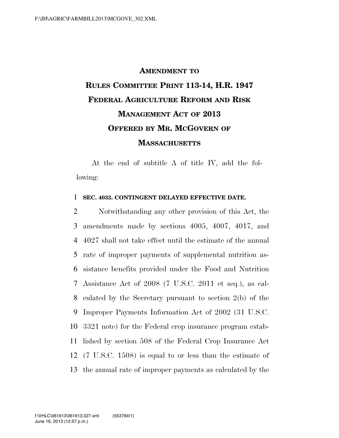## **AMENDMENT TO RULES COMMITTEE PRINT 113-14, H.R. 1947 FEDERAL AGRICULTURE REFORM AND RISK MANAGEMENT ACT OF 2013 OFFERED BY MR. MCGOVERN OF MASSACHUSETTS**

At the end of subtitle A of title IV, add the following:

## 1 **SEC. 4033. CONTINGENT DELAYED EFFECTIVE DATE.**

 Notwithstanding any other provision of this Act, the amendments made by sections 4005, 4007, 4017, and 4027 shall not take effect until the estimate of the annual rate of improper payments of supplemental nutrition as- sistance benefits provided under the Food and Nutrition Assistance Act of 2008 (7 U.S.C. 2011 et seq.), as cal- culated by the Secretary pursuant to section 2(b) of the Improper Payments Information Act of 2002 (31 U.S.C. 3321 note) for the Federal crop insurance program estab- lished by section 508 of the Federal Crop Insurance Act (7 U.S.C. 1508) is equal to or less than the estimate of the annual rate of improper payments as calculated by the